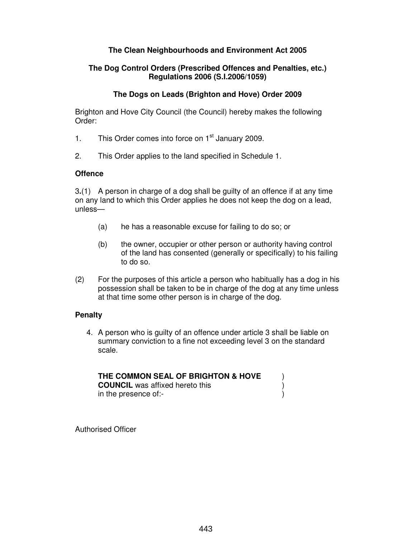# **The Clean Neighbourhoods and Environment Act 2005**

# **The Dog Control Orders (Prescribed Offences and Penalties, etc.) Regulations 2006 (S.I.2006/1059)**

### **The Dogs on Leads (Brighton and Hove) Order 2009**

Brighton and Hove City Council (the Council) hereby makes the following Order:

- 1. This Order comes into force on  $1<sup>st</sup>$  January 2009.
- 2. This Order applies to the land specified in Schedule 1.

### **Offence**

3**.**(1) A person in charge of a dog shall be guilty of an offence if at any time on any land to which this Order applies he does not keep the dog on a lead, unless—

- (a) he has a reasonable excuse for failing to do so; or
- (b) the owner, occupier or other person or authority having control of the land has consented (generally or specifically) to his failing to do so.
- (2) For the purposes of this article a person who habitually has a dog in his possession shall be taken to be in charge of the dog at any time unless at that time some other person is in charge of the dog.

# **Penalty**

4. A person who is guilty of an offence under article 3 shall be liable on summary conviction to a fine not exceeding level 3 on the standard scale.

| THE COMMON SEAL OF BRIGHTON & HOVE     |  |
|----------------------------------------|--|
| <b>COUNCIL</b> was affixed hereto this |  |
| in the presence of:-                   |  |

Authorised Officer